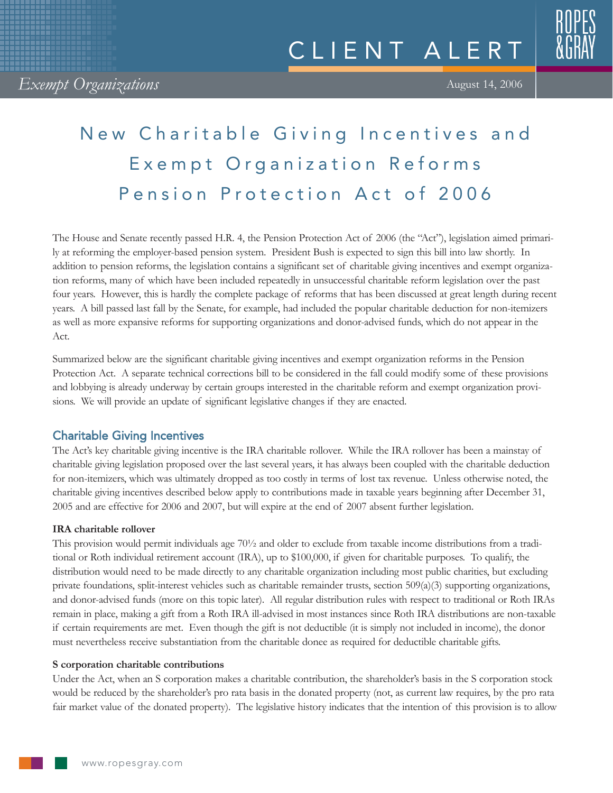# New Charitable Giving Incentives and Exempt Organization Reforms Pension Protection Act of 2006

The House and Senate recently passed H.R. 4, the Pension Protection Act of 2006 (the "Act"), legislation aimed primarily at reforming the employer-based pension system. President Bush is expected to sign this bill into law shortly. In addition to pension reforms, the legislation contains a significant set of charitable giving incentives and exempt organization reforms, many of which have been included repeatedly in unsuccessful charitable reform legislation over the past four years. However, this is hardly the complete package of reforms that has been discussed at great length during recent years. A bill passed last fall by the Senate, for example, had included the popular charitable deduction for non-itemizers as well as more expansive reforms for supporting organizations and donor-advised funds, which do not appear in the Act.

Summarized below are the significant charitable giving incentives and exempt organization reforms in the Pension Protection Act. A separate technical corrections bill to be considered in the fall could modify some of these provisions and lobbying is already underway by certain groups interested in the charitable reform and exempt organization provisions. We will provide an update of significant legislative changes if they are enacted.

# Charitable Giving Incentives

The Act's key charitable giving incentive is the IRA charitable rollover. While the IRA rollover has been a mainstay of charitable giving legislation proposed over the last several years, it has always been coupled with the charitable deduction for non-itemizers, which was ultimately dropped as too costly in terms of lost tax revenue. Unless otherwise noted, the charitable giving incentives described below apply to contributions made in taxable years beginning after December 31, 2005 and are effective for 2006 and 2007, but will expire at the end of 2007 absent further legislation.

## **IRA charitable rollover**

This provision would permit individuals age 70½ and older to exclude from taxable income distributions from a traditional or Roth individual retirement account (IRA), up to \$100,000, if given for charitable purposes. To qualify, the distribution would need to be made directly to any charitable organization including most public charities, but excluding private foundations, split-interest vehicles such as charitable remainder trusts, section 509(a)(3) supporting organizations, and donor-advised funds (more on this topic later). All regular distribution rules with respect to traditional or Roth IRAs remain in place, making a gift from a Roth IRA ill-advised in most instances since Roth IRA distributions are non-taxable if certain requirements are met. Even though the gift is not deductible (it is simply not included in income), the donor must nevertheless receive substantiation from the charitable donee as required for deductible charitable gifts.

## **S corporation charitable contributions**

Under the Act, when an S corporation makes a charitable contribution, the shareholder's basis in the S corporation stock would be reduced by the shareholder's pro rata basis in the donated property (not, as current law requires, by the pro rata fair market value of the donated property). The legislative history indicates that the intention of this provision is to allow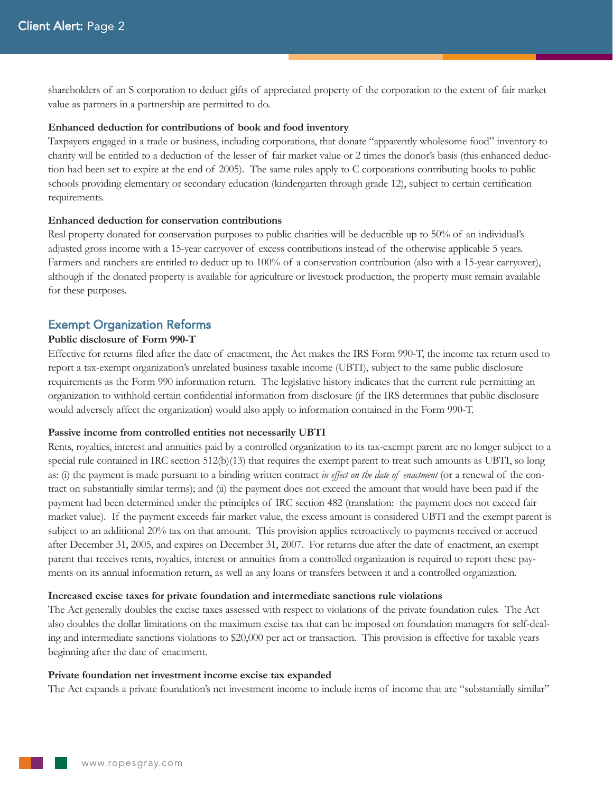shareholders of an S corporation to deduct gifts of appreciated property of the corporation to the extent of fair market value as partners in a partnership are permitted to do.

#### **Enhanced deduction for contributions of book and food inventory**

Taxpayers engaged in a trade or business, including corporations, that donate "apparently wholesome food" inventory to charity will be entitled to a deduction of the lesser of fair market value or 2 times the donor's basis (this enhanced deduction had been set to expire at the end of 2005). The same rules apply to C corporations contributing books to public schools providing elementary or secondary education (kindergarten through grade 12), subject to certain certification requirements.

## **Enhanced deduction for conservation contributions**

Real property donated for conservation purposes to public charities will be deductible up to 50% of an individual's adjusted gross income with a 15-year carryover of excess contributions instead of the otherwise applicable 5 years. Farmers and ranchers are entitled to deduct up to 100% of a conservation contribution (also with a 15-year carryover), although if the donated property is available for agriculture or livestock production, the property must remain available for these purposes.

## Exempt Organization Reforms

## **Public disclosure of Form 990-T**

Effective for returns filed after the date of enactment, the Act makes the IRS Form 990-T, the income tax return used to report a tax-exempt organization's unrelated business taxable income (UBTI), subject to the same public disclosure requirements as the Form 990 information return. The legislative history indicates that the current rule permitting an organization to withhold certain confidential information from disclosure (if the IRS determines that public disclosure would adversely affect the organization) would also apply to information contained in the Form 990-T.

#### **Passive income from controlled entities not necessarily UBTI**

Rents, royalties, interest and annuities paid by a controlled organization to its tax-exempt parent are no longer subject to a special rule contained in IRC section 512(b)(13) that requires the exempt parent to treat such amounts as UBTI, so long as: (i) the payment is made pursuant to a binding written contract *in effect on the date of enactment* (or a renewal of the contract on substantially similar terms); and (ii) the payment does not exceed the amount that would have been paid if the payment had been determined under the principles of IRC section 482 (translation: the payment does not exceed fair market value). If the payment exceeds fair market value, the excess amount is considered UBTI and the exempt parent is subject to an additional 20% tax on that amount. This provision applies retroactively to payments received or accrued after December 31, 2005, and expires on December 31, 2007. For returns due after the date of enactment, an exempt parent that receives rents, royalties, interest or annuities from a controlled organization is required to report these payments on its annual information return, as well as any loans or transfers between it and a controlled organization.

#### **Increased excise taxes for private foundation and intermediate sanctions rule violations**

The Act generally doubles the excise taxes assessed with respect to violations of the private foundation rules. The Act also doubles the dollar limitations on the maximum excise tax that can be imposed on foundation managers for self-dealing and intermediate sanctions violations to \$20,000 per act or transaction. This provision is effective for taxable years beginning after the date of enactment.

#### **Private foundation net investment income excise tax expanded**

The Act expands a private foundation's net investment income to include items of income that are "substantially similar"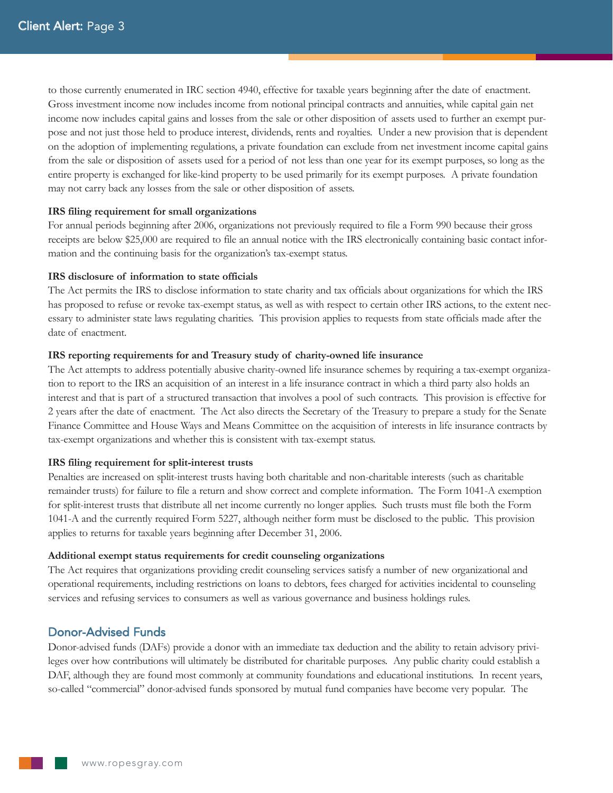to those currently enumerated in IRC section 4940, effective for taxable years beginning after the date of enactment. Gross investment income now includes income from notional principal contracts and annuities, while capital gain net income now includes capital gains and losses from the sale or other disposition of assets used to further an exempt purpose and not just those held to produce interest, dividends, rents and royalties. Under a new provision that is dependent on the adoption of implementing regulations, a private foundation can exclude from net investment income capital gains from the sale or disposition of assets used for a period of not less than one year for its exempt purposes, so long as the entire property is exchanged for like-kind property to be used primarily for its exempt purposes. A private foundation may not carry back any losses from the sale or other disposition of assets.

#### **IRS filing requirement for small organizations**

For annual periods beginning after 2006, organizations not previously required to file a Form 990 because their gross receipts are below \$25,000 are required to file an annual notice with the IRS electronically containing basic contact information and the continuing basis for the organization's tax-exempt status.

#### **IRS disclosure of information to state officials**

The Act permits the IRS to disclose information to state charity and tax officials about organizations for which the IRS has proposed to refuse or revoke tax-exempt status, as well as with respect to certain other IRS actions, to the extent necessary to administer state laws regulating charities. This provision applies to requests from state officials made after the date of enactment.

#### **IRS reporting requirements for and Treasury study of charity-owned life insurance**

The Act attempts to address potentially abusive charity-owned life insurance schemes by requiring a tax-exempt organization to report to the IRS an acquisition of an interest in a life insurance contract in which a third party also holds an interest and that is part of a structured transaction that involves a pool of such contracts. This provision is effective for 2 years after the date of enactment. The Act also directs the Secretary of the Treasury to prepare a study for the Senate Finance Committee and House Ways and Means Committee on the acquisition of interests in life insurance contracts by tax-exempt organizations and whether this is consistent with tax-exempt status.

#### **IRS filing requirement for split-interest trusts**

Penalties are increased on split-interest trusts having both charitable and non-charitable interests (such as charitable remainder trusts) for failure to file a return and show correct and complete information. The Form 1041-A exemption for split-interest trusts that distribute all net income currently no longer applies. Such trusts must file both the Form 1041-A and the currently required Form 5227, although neither form must be disclosed to the public. This provision applies to returns for taxable years beginning after December 31, 2006.

#### **Additional exempt status requirements for credit counseling organizations**

The Act requires that organizations providing credit counseling services satisfy a number of new organizational and operational requirements, including restrictions on loans to debtors, fees charged for activities incidental to counseling services and refusing services to consumers as well as various governance and business holdings rules.

## Donor-Advised Funds

Donor-advised funds (DAFs) provide a donor with an immediate tax deduction and the ability to retain advisory privileges over how contributions will ultimately be distributed for charitable purposes. Any public charity could establish a DAF, although they are found most commonly at community foundations and educational institutions. In recent years, so-called "commercial" donor-advised funds sponsored by mutual fund companies have become very popular. The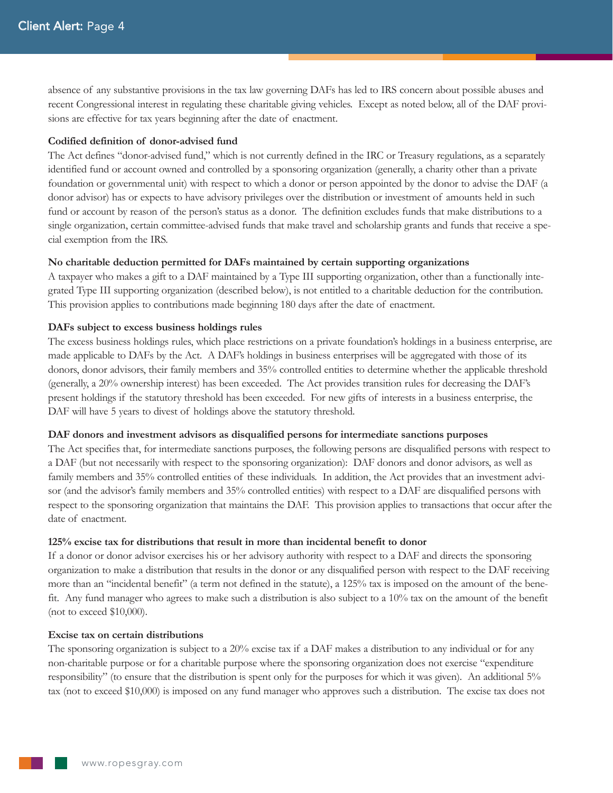absence of any substantive provisions in the tax law governing DAFs has led to IRS concern about possible abuses and recent Congressional interest in regulating these charitable giving vehicles. Except as noted below, all of the DAF provisions are effective for tax years beginning after the date of enactment.

#### **Codified definition of donor-advised fund**

The Act defines "donor-advised fund," which is not currently defined in the IRC or Treasury regulations, as a separately identified fund or account owned and controlled by a sponsoring organization (generally, a charity other than a private foundation or governmental unit) with respect to which a donor or person appointed by the donor to advise the DAF (a donor advisor) has or expects to have advisory privileges over the distribution or investment of amounts held in such fund or account by reason of the person's status as a donor. The definition excludes funds that make distributions to a single organization, certain committee-advised funds that make travel and scholarship grants and funds that receive a special exemption from the IRS.

#### **No charitable deduction permitted for DAFs maintained by certain supporting organizations**

A taxpayer who makes a gift to a DAF maintained by a Type III supporting organization, other than a functionally integrated Type III supporting organization (described below), is not entitled to a charitable deduction for the contribution. This provision applies to contributions made beginning 180 days after the date of enactment.

#### **DAFs subject to excess business holdings rules**

The excess business holdings rules, which place restrictions on a private foundation's holdings in a business enterprise, are made applicable to DAFs by the Act. A DAF's holdings in business enterprises will be aggregated with those of its donors, donor advisors, their family members and 35% controlled entities to determine whether the applicable threshold (generally, a 20% ownership interest) has been exceeded. The Act provides transition rules for decreasing the DAF's present holdings if the statutory threshold has been exceeded. For new gifts of interests in a business enterprise, the DAF will have 5 years to divest of holdings above the statutory threshold.

#### **DAF donors and investment advisors as disqualified persons for intermediate sanctions purposes**

The Act specifies that, for intermediate sanctions purposes, the following persons are disqualified persons with respect to a DAF (but not necessarily with respect to the sponsoring organization): DAF donors and donor advisors, as well as family members and 35% controlled entities of these individuals. In addition, the Act provides that an investment advisor (and the advisor's family members and 35% controlled entities) with respect to a DAF are disqualified persons with respect to the sponsoring organization that maintains the DAF. This provision applies to transactions that occur after the date of enactment.

#### **125% excise tax for distributions that result in more than incidental benefit to donor**

If a donor or donor advisor exercises his or her advisory authority with respect to a DAF and directs the sponsoring organization to make a distribution that results in the donor or any disqualified person with respect to the DAF receiving more than an "incidental benefit" (a term not defined in the statute), a 125% tax is imposed on the amount of the benefit. Any fund manager who agrees to make such a distribution is also subject to a 10% tax on the amount of the benefit (not to exceed \$10,000).

## **Excise tax on certain distributions**

The sponsoring organization is subject to a 20% excise tax if a DAF makes a distribution to any individual or for any non-charitable purpose or for a charitable purpose where the sponsoring organization does not exercise "expenditure responsibility" (to ensure that the distribution is spent only for the purposes for which it was given). An additional 5% tax (not to exceed \$10,000) is imposed on any fund manager who approves such a distribution. The excise tax does not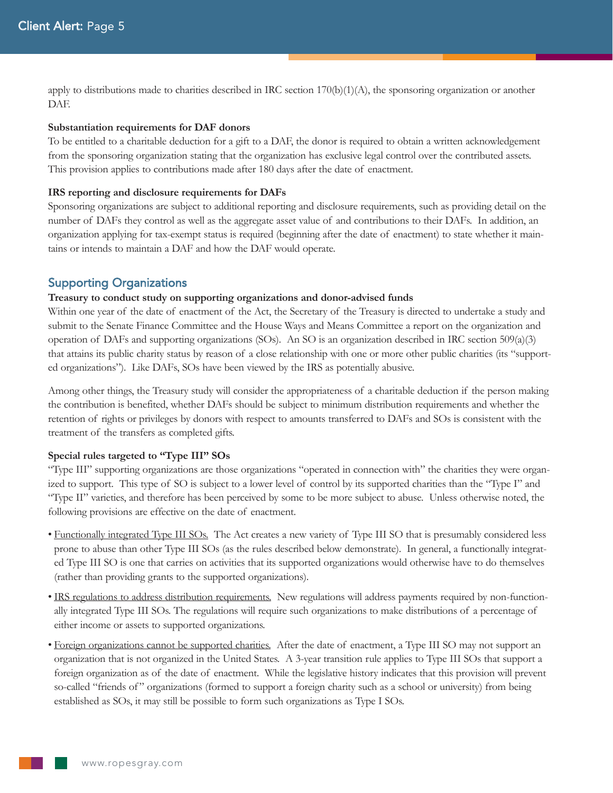apply to distributions made to charities described in IRC section 170(b)(1)(A), the sponsoring organization or another DAF.

#### **Substantiation requirements for DAF donors**

To be entitled to a charitable deduction for a gift to a DAF, the donor is required to obtain a written acknowledgement from the sponsoring organization stating that the organization has exclusive legal control over the contributed assets. This provision applies to contributions made after 180 days after the date of enactment.

#### **IRS reporting and disclosure requirements for DAFs**

Sponsoring organizations are subject to additional reporting and disclosure requirements, such as providing detail on the number of DAFs they control as well as the aggregate asset value of and contributions to their DAFs. In addition, an organization applying for tax-exempt status is required (beginning after the date of enactment) to state whether it maintains or intends to maintain a DAF and how the DAF would operate.

## Supporting Organizations

#### **Treasury to conduct study on supporting organizations and donor-advised funds**

Within one year of the date of enactment of the Act, the Secretary of the Treasury is directed to undertake a study and submit to the Senate Finance Committee and the House Ways and Means Committee a report on the organization and operation of DAFs and supporting organizations (SOs). An SO is an organization described in IRC section  $509(a)(3)$ that attains its public charity status by reason of a close relationship with one or more other public charities (its "supported organizations"). Like DAFs, SOs have been viewed by the IRS as potentially abusive.

Among other things, the Treasury study will consider the appropriateness of a charitable deduction if the person making the contribution is benefited, whether DAFs should be subject to minimum distribution requirements and whether the retention of rights or privileges by donors with respect to amounts transferred to DAFs and SOs is consistent with the treatment of the transfers as completed gifts.

#### **Special rules targeted to "Type III" SOs**

"Type III" supporting organizations are those organizations "operated in connection with" the charities they were organized to support. This type of SO is subject to a lower level of control by its supported charities than the "Type I" and "Type II" varieties, and therefore has been perceived by some to be more subject to abuse. Unless otherwise noted, the following provisions are effective on the date of enactment.

- Functionally integrated Type III SOs. The Act creates a new variety of Type III SO that is presumably considered less prone to abuse than other Type III SOs (as the rules described below demonstrate). In general, a functionally integrated Type III SO is one that carries on activities that its supported organizations would otherwise have to do themselves (rather than providing grants to the supported organizations).
- IRS regulations to address distribution requirements. New regulations will address payments required by non-functionally integrated Type III SOs. The regulations will require such organizations to make distributions of a percentage of either income or assets to supported organizations.
- Foreign organizations cannot be supported charities. After the date of enactment, a Type III SO may not support an organization that is not organized in the United States. A 3-year transition rule applies to Type III SOs that support a foreign organization as of the date of enactment. While the legislative history indicates that this provision will prevent so-called "friends of" organizations (formed to support a foreign charity such as a school or university) from being established as SOs, it may still be possible to form such organizations as Type I SOs.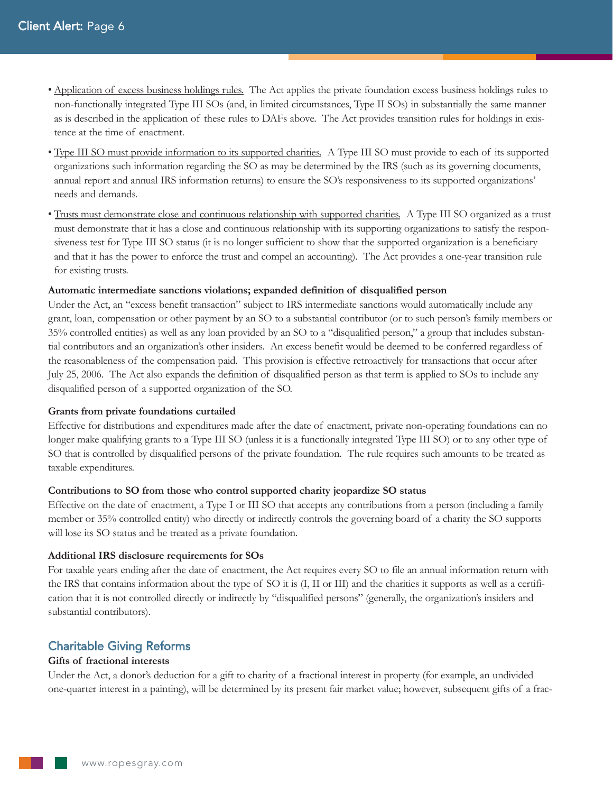- Application of excess business holdings rules. The Act applies the private foundation excess business holdings rules to non-functionally integrated Type III SOs (and, in limited circumstances, Type II SOs) in substantially the same manner as is described in the application of these rules to DAFs above. The Act provides transition rules for holdings in existence at the time of enactment.
- Type III SO must provide information to its supported charities. A Type III SO must provide to each of its supported organizations such information regarding the SO as may be determined by the IRS (such as its governing documents, annual report and annual IRS information returns) to ensure the SO's responsiveness to its supported organizations' needs and demands.
- Trusts must demonstrate close and continuous relationship with supported charities. A Type III SO organized as a trust must demonstrate that it has a close and continuous relationship with its supporting organizations to satisfy the responsiveness test for Type III SO status (it is no longer sufficient to show that the supported organization is a beneficiary and that it has the power to enforce the trust and compel an accounting). The Act provides a one-year transition rule for existing trusts.

## **Automatic intermediate sanctions violations; expanded definition of disqualified person**

Under the Act, an "excess benefit transaction" subject to IRS intermediate sanctions would automatically include any grant, loan, compensation or other payment by an SO to a substantial contributor (or to such person's family members or 35% controlled entities) as well as any loan provided by an SO to a "disqualified person," a group that includes substantial contributors and an organization's other insiders. An excess benefit would be deemed to be conferred regardless of the reasonableness of the compensation paid. This provision is effective retroactively for transactions that occur after July 25, 2006. The Act also expands the definition of disqualified person as that term is applied to SOs to include any disqualified person of a supported organization of the SO.

## **Grants from private foundations curtailed**

Effective for distributions and expenditures made after the date of enactment, private non-operating foundations can no longer make qualifying grants to a Type III SO (unless it is a functionally integrated Type III SO) or to any other type of SO that is controlled by disqualified persons of the private foundation. The rule requires such amounts to be treated as taxable expenditures.

## **Contributions to SO from those who control supported charity jeopardize SO status**

Effective on the date of enactment, a Type I or III SO that accepts any contributions from a person (including a family member or 35% controlled entity) who directly or indirectly controls the governing board of a charity the SO supports will lose its SO status and be treated as a private foundation.

## **Additional IRS disclosure requirements for SOs**

For taxable years ending after the date of enactment, the Act requires every SO to file an annual information return with the IRS that contains information about the type of SO it is (I, II or III) and the charities it supports as well as a certification that it is not controlled directly or indirectly by "disqualified persons" (generally, the organization's insiders and substantial contributors).

# Charitable Giving Reforms

## **Gifts of fractional interests**

Under the Act, a donor's deduction for a gift to charity of a fractional interest in property (for example, an undivided one-quarter interest in a painting), will be determined by its present fair market value; however, subsequent gifts of a frac-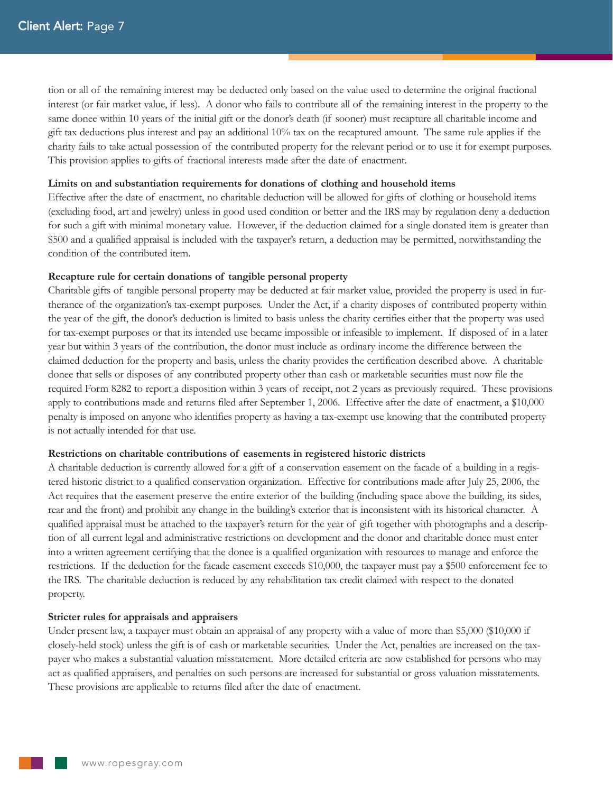tion or all of the remaining interest may be deducted only based on the value used to determine the original fractional interest (or fair market value, if less). A donor who fails to contribute all of the remaining interest in the property to the same donee within 10 years of the initial gift or the donor's death (if sooner) must recapture all charitable income and gift tax deductions plus interest and pay an additional 10% tax on the recaptured amount. The same rule applies if the charity fails to take actual possession of the contributed property for the relevant period or to use it for exempt purposes. This provision applies to gifts of fractional interests made after the date of enactment.

### **Limits on and substantiation requirements for donations of clothing and household items**

Effective after the date of enactment, no charitable deduction will be allowed for gifts of clothing or household items (excluding food, art and jewelry) unless in good used condition or better and the IRS may by regulation deny a deduction for such a gift with minimal monetary value. However, if the deduction claimed for a single donated item is greater than \$500 and a qualified appraisal is included with the taxpayer's return, a deduction may be permitted, notwithstanding the condition of the contributed item.

#### **Recapture rule for certain donations of tangible personal property**

Charitable gifts of tangible personal property may be deducted at fair market value, provided the property is used in furtherance of the organization's tax-exempt purposes. Under the Act, if a charity disposes of contributed property within the year of the gift, the donor's deduction is limited to basis unless the charity certifies either that the property was used for tax-exempt purposes or that its intended use became impossible or infeasible to implement. If disposed of in a later year but within 3 years of the contribution, the donor must include as ordinary income the difference between the claimed deduction for the property and basis, unless the charity provides the certification described above. A charitable donee that sells or disposes of any contributed property other than cash or marketable securities must now file the required Form 8282 to report a disposition within 3 years of receipt, not 2 years as previously required. These provisions apply to contributions made and returns filed after September 1, 2006. Effective after the date of enactment, a \$10,000 penalty is imposed on anyone who identifies property as having a tax-exempt use knowing that the contributed property is not actually intended for that use.

#### **Restrictions on charitable contributions of easements in registered historic districts**

A charitable deduction is currently allowed for a gift of a conservation easement on the facade of a building in a registered historic district to a qualified conservation organization. Effective for contributions made after July 25, 2006, the Act requires that the easement preserve the entire exterior of the building (including space above the building, its sides, rear and the front) and prohibit any change in the building's exterior that is inconsistent with its historical character. A qualified appraisal must be attached to the taxpayer's return for the year of gift together with photographs and a description of all current legal and administrative restrictions on development and the donor and charitable donee must enter into a written agreement certifying that the donee is a qualified organization with resources to manage and enforce the restrictions. If the deduction for the facade easement exceeds \$10,000, the taxpayer must pay a \$500 enforcement fee to the IRS. The charitable deduction is reduced by any rehabilitation tax credit claimed with respect to the donated property.

#### **Stricter rules for appraisals and appraisers**

Under present law, a taxpayer must obtain an appraisal of any property with a value of more than \$5,000 (\$10,000 if closely-held stock) unless the gift is of cash or marketable securities. Under the Act, penalties are increased on the taxpayer who makes a substantial valuation misstatement. More detailed criteria are now established for persons who may act as qualified appraisers, and penalties on such persons are increased for substantial or gross valuation misstatements. These provisions are applicable to returns filed after the date of enactment.